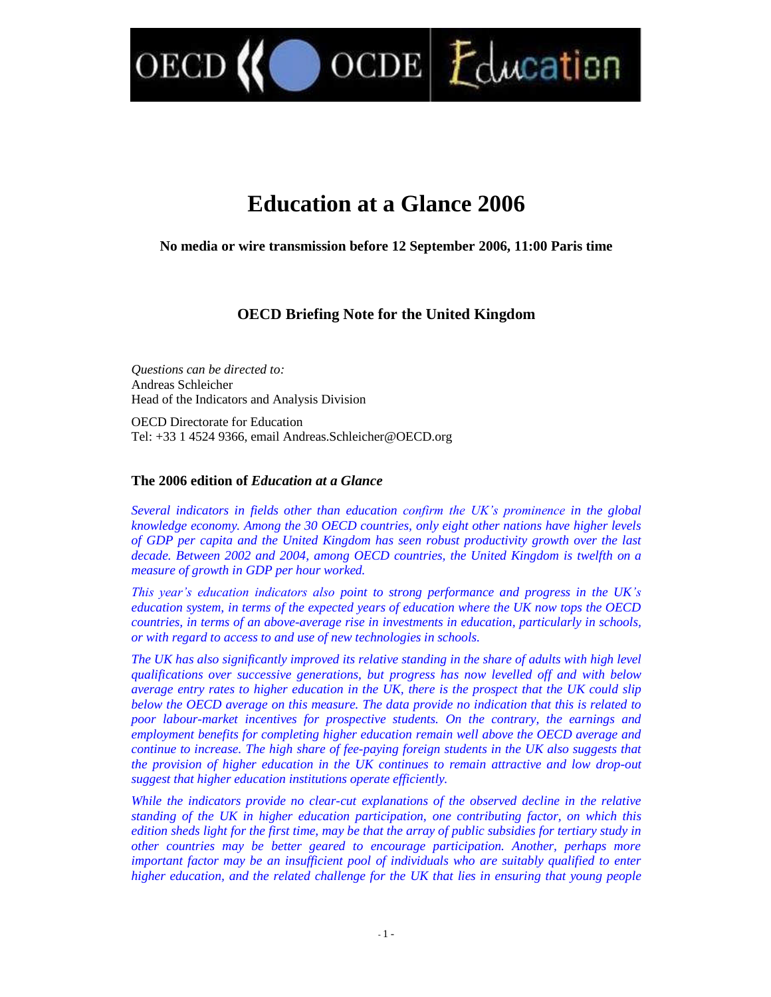$\text{OCDE}$   $\mathcal{L}$  dweation

# **Education at a Glance 2006**

**No media or wire transmission before 12 September 2006, 11:00 Paris time**

# **OECD Briefing Note for the United Kingdom**

*Questions can be directed to:* Andreas Schleicher Head of the Indicators and Analysis Division

OECD

OECD Directorate for Education Tel: +33 1 4524 9366, email Andreas.Schleicher@OECD.org

# **The 2006 edition of** *Education at a Glance*

*Several indicators in fields other than education confirmtheUK'sprominencein the global knowledge economy. Among the 30 OECD countries, only eight other nations have higher levels of GDP per capita and the United Kingdom has seen robust productivity growth over the last decade. Between 2002 and 2004, among OECD countries, the United Kingdom is twelfth on a measure of growth in GDP per hour worked.*

*Thisyear'seducationindicatorsalsopoint to strong performance and progress in the UK's education system, in terms of the expected years of education where the UK now tops the OECD countries, in terms of an above-average rise in investments in education, particularly in schools, or with regard to access to and use of new technologies in schools.*

*The UK has also significantly improved its relative standing in the share of adults with high level qualifications over successive generations, but progress has now levelled off and with below average entry rates to higher education in the UK, there is the prospect that the UK could slip below the OECD average on this measure. The data provide no indication that this is related to poor labour-market incentives for prospective students. On the contrary, the earnings and employment benefits for completing higher education remain well above the OECD average and continue to increase. The high share of fee-paying foreign students in the UK also suggests that the provision of higher education in the UK continues to remain attractive and low drop-out suggest that higher education institutions operate efficiently.*

*While the indicators provide no clear-cut explanations of the observed decline in the relative standing of the UK in higher education participation, one contributing factor, on which this edition sheds light for the first time, may be that the array of public subsidies for tertiary study in other countries may be better geared to encourage participation. Another, perhaps more important factor may be an insufficient pool of individuals who are suitably qualified to enter higher education, and the related challenge for the UK that lies in ensuring that young people*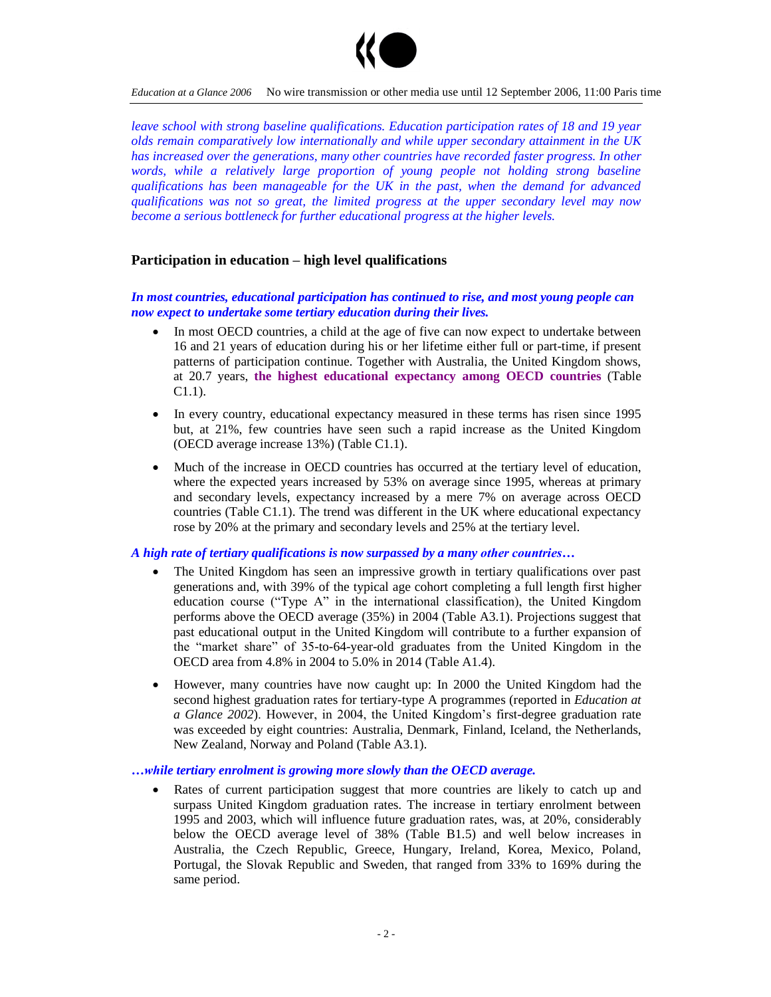

*Education at a Glance 2006* No wire transmission or other media use until 12 September 2006, 11:00 Paris time

*leave school with strong baseline qualifications. Education participation rates of 18 and 19 year olds remain comparatively low internationally and while upper secondary attainment in the UK has increased over the generations, many other countries have recorded faster progress. In other words, while a relatively large proportion of young people not holding strong baseline qualifications has been manageable for the UK in the past, when the demand for advanced qualifications was not so great, the limited progress at the upper secondary level may now become a serious bottleneck for further educational progress at the higher levels.*

## **Participation in education –high level qualifications**

*In most countries, educational participation has continued to rise, and most young people can now expect to undertake some tertiary education during their lives.*

- In most OECD countries, a child at the age of five can now expect to undertake between 16 and 21 years of education during his or her lifetime either full or part-time, if present patterns of participation continue. Together with Australia, the United Kingdom shows, at 20.7 years, **the highest educational expectancy among OECD countries** (Table C1.1).
- In every country, educational expectancy measured in these terms has risen since 1995 but, at 21%, few countries have seen such a rapid increase as the United Kingdom (OECD average increase 13%) (Table C1.1).
- Much of the increase in OECD countries has occurred at the tertiary level of education, where the expected years increased by 53% on average since 1995, whereas at primary and secondary levels, expectancy increased by a mere 7% on average across OECD countries (Table C1.1). The trend was different in the UK where educational expectancy rose by 20% at the primary and secondary levels and 25% at the tertiary level.

#### *A high rate of tertiary qualifications is now surpassed by a many other countries...*

- The United Kingdom has seen an impressive growth in tertiary qualifications over past generations and, with 39% of the typical age cohort completing a full length first higher education course ("Type A" in the international classification), the United Kingdom performs above the OECD average (35%) in 2004 (Table A3.1). Projections suggest that past educational output in the United Kingdom will contribute to a further expansion of the "market share" of 35-to-64-year-old graduates from the United Kingdom in the OECD area from 4.8% in 2004 to 5.0% in 2014 (Table A1.4).
- However, many countries have now caught up: In 2000 the United Kingdom had the second highest graduation rates for tertiary-type A programmes (reported in *Education at a Glance* 2002). However, in 2004, the United Kingdom's first-degree graduation rate was exceeded by eight countries: Australia, Denmark, Finland, Iceland, the Netherlands, New Zealand, Norway and Poland (Table A3.1).

#### *…while tertiary enrolment is growing more slowly than the OECD average.*

 Rates of current participation suggest that more countries are likely to catch up and surpass United Kingdom graduation rates. The increase in tertiary enrolment between 1995 and 2003, which will influence future graduation rates, was, at 20%, considerably below the OECD average level of 38% (Table B1.5) and well below increases in Australia, the Czech Republic, Greece, Hungary, Ireland, Korea, Mexico, Poland, Portugal, the Slovak Republic and Sweden, that ranged from 33% to 169% during the same period.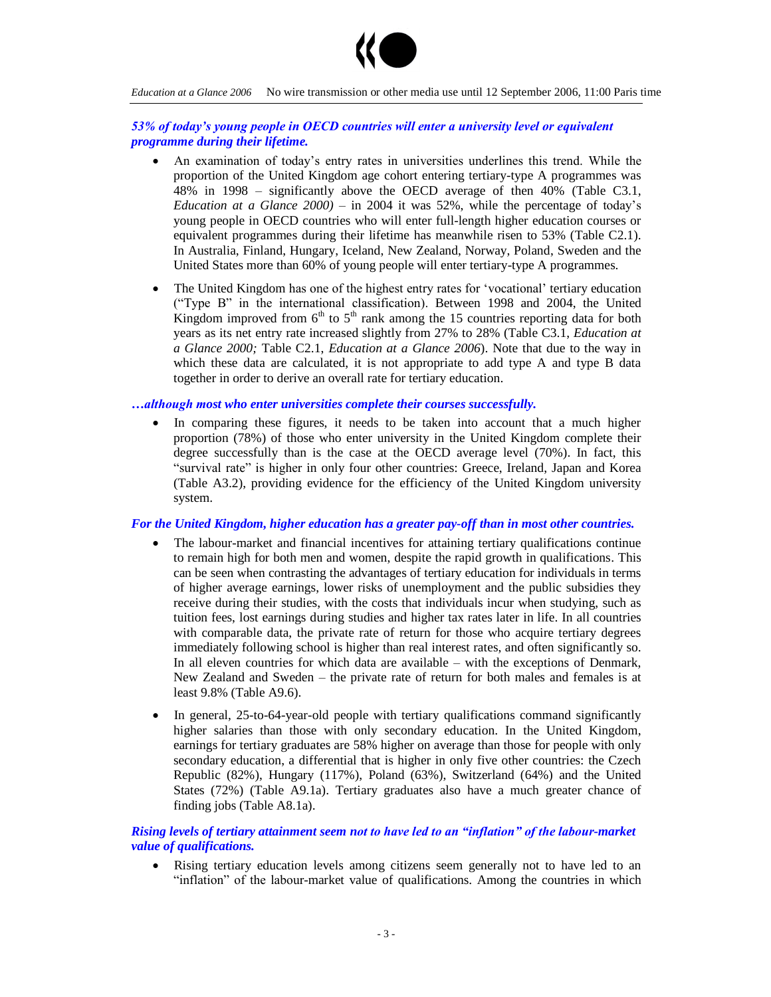

*Education at a Glance 2006* No wire transmission or other media use until 12 September 2006, 11:00 Paris time

## *53%oftoday'syoungpeopleinOECDcountrieswillenterauniversitylevelorequivalent programme during their lifetime.*

- An examination of today's entry rates in universities underlines this trend. While the proportion of the United Kingdom age cohort entering tertiary-type A programmes was  $48\%$  in 1998 – significantly above the OECD average of then  $40\%$  (Table C3.1, *Education at a Glance*  $2000$  – in 2004 it was 52%, while the percentage of today's young people in OECD countries who will enter full-length higher education courses or equivalent programmes during their lifetime has meanwhile risen to 53% (Table C2.1). In Australia, Finland, Hungary, Iceland, New Zealand, Norway, Poland, Sweden and the United States more than 60% of young people will enter tertiary-type A programmes.
- The United Kingdom has one of the highest entry rates for 'vocational' tertiary education ("Type B" in the international classification). Between 1998 and 2004, the United Kingdom improved from  $6<sup>th</sup>$  to  $5<sup>th</sup>$  rank among the 15 countries reporting data for both years as its net entry rate increased slightly from 27% to 28% (Table C3.1, *Education at a Glance 2000;* Table C2.1, *Education at a Glance 2006*). Note that due to the way in which these data are calculated, it is not appropriate to add type A and type B data together in order to derive an overall rate for tertiary education.

## *…althoughmost who enter universities complete their courses successfully.*

 In comparing these figures, it needs to be taken into account that a much higher proportion (78%) of those who enter university in the United Kingdom complete their degree successfully than is the case at the OECD average level (70%). In fact, this "survival rate" is higher in only four other countries: Greece, Ireland, Japan and Korea (Table A3.2), providing evidence for the efficiency of the United Kingdom university system.

## *For the United Kingdom, higher education has a greater pay-off than in most other countries.*

- The labour-market and financial incentives for attaining tertiary qualifications continue to remain high for both men and women, despite the rapid growth in qualifications. This can be seen when contrasting the advantages of tertiary education for individuals in terms of higher average earnings, lower risks of unemployment and the public subsidies they receive during their studies, with the costs that individuals incur when studying, such as tuition fees, lost earnings during studies and higher tax rates later in life. In all countries with comparable data, the private rate of return for those who acquire tertiary degrees immediately following school is higher than real interest rates, and often significantly so. In all eleven countries for which data are available  $-$  with the exceptions of Denmark, New Zealand and Sweden  $-$  the private rate of return for both males and females is at least 9.8% (Table A9.6).
- In general, 25-to-64-year-old people with tertiary qualifications command significantly higher salaries than those with only secondary education. In the United Kingdom, earnings for tertiary graduates are 58% higher on average than those for people with only secondary education, a differential that is higher in only five other countries: the Czech Republic (82%), Hungary (117%), Poland (63%), Switzerland (64%) and the United States (72%) (Table A9.1a). Tertiary graduates also have a much greater chance of finding jobs (Table A8.1a).

## *Rising levels of tertiary attainment seem nottohaveledtoan"inflation"ofthelabour-market value of qualifications.*

 Rising tertiary education levels among citizens seem generally not to have led to an "inflation" of the labour-market value of qualifications. Among the countries in which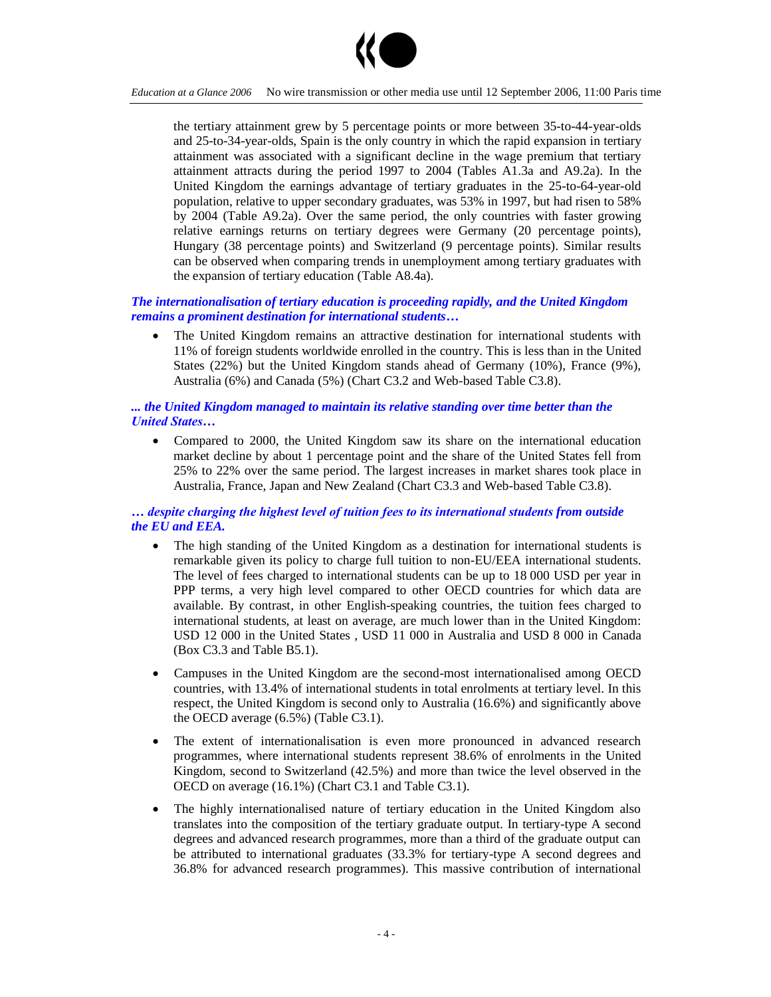

the tertiary attainment grew by 5 percentage points or more between 35-to-44-year-olds and 25-to-34-year-olds, Spain is the only country in which the rapid expansion in tertiary attainment was associated with a significant decline in the wage premium that tertiary attainment attracts during the period 1997 to 2004 (Tables A1.3a and A9.2a). In the United Kingdom the earnings advantage of tertiary graduates in the 25-to-64-year-old population, relative to upper secondary graduates, was 53% in 1997, but had risen to 58% by 2004 (Table A9.2a). Over the same period, the only countries with faster growing relative earnings returns on tertiary degrees were Germany (20 percentage points), Hungary (38 percentage points) and Switzerland (9 percentage points). Similar results can be observed when comparing trends in unemployment among tertiary graduates with the expansion of tertiary education (Table A8.4a).

# *The internationalisation of tertiary education is proceeding rapidly, and the United Kingdom remains a prominent destination for international students…*

 The United Kingdom remains an attractive destination for international students with 11% of foreign students worldwide enrolled in the country. This is less than in the United States (22%) but the United Kingdom stands ahead of Germany (10%), France (9%), Australia (6%) and Canada (5%) (Chart C3.2 and Web-based Table C3.8).

# *... the United Kingdom managed to maintain its relative standing over time better than the United States...*

 Compared to 2000, the United Kingdom saw its share on the international education market decline by about 1 percentage point and the share of the United States fell from 25% to 22% over the same period. The largest increases in market shares took place in Australia, France, Japan and New Zealand (Chart C3.3 and Web-based Table C3.8).

# $\dots$  *despite charging the highest level of tuition fees to its international students from outside the EU and EEA.*

- The high standing of the United Kingdom as a destination for international students is remarkable given its policy to charge full tuition to non-EU/EEA international students. The level of fees charged to international students can be up to 18 000 USD per year in PPP terms, a very high level compared to other OECD countries for which data are available. By contrast, in other English-speaking countries, the tuition fees charged to international students, at least on average, are much lower than in the United Kingdom: USD 12 000 in the United States , USD 11 000 in Australia and USD 8 000 in Canada (Box C3.3 and Table B5.1).
- Campuses in the United Kingdom are the second-most internationalised among OECD countries, with 13.4% of international students in total enrolments at tertiary level. In this respect, the United Kingdom is second only to Australia (16.6%) and significantly above the OECD average (6.5%) (Table C3.1).
- The extent of internationalisation is even more pronounced in advanced research programmes, where international students represent 38.6% of enrolments in the United Kingdom, second to Switzerland (42.5%) and more than twice the level observed in the OECD on average (16.1%) (Chart C3.1 and Table C3.1).
- The highly internationalised nature of tertiary education in the United Kingdom also translates into the composition of the tertiary graduate output. In tertiary-type A second degrees and advanced research programmes, more than a third of the graduate output can be attributed to international graduates (33.3% for tertiary-type A second degrees and 36.8% for advanced research programmes). This massive contribution of international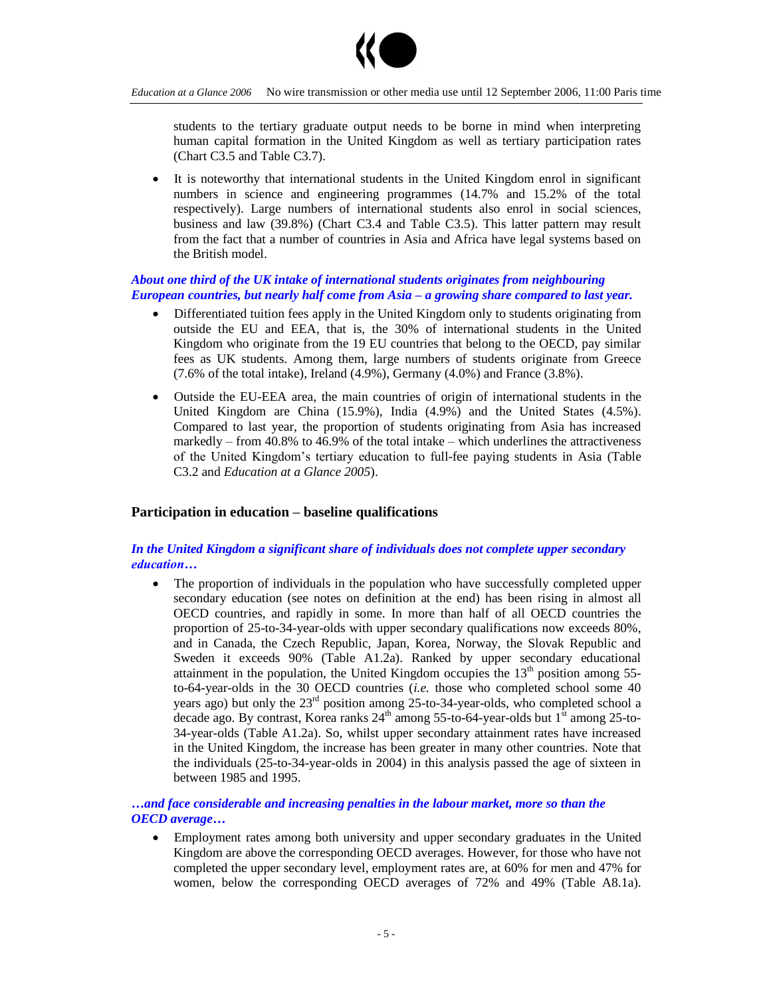

students to the tertiary graduate output needs to be borne in mind when interpreting human capital formation in the United Kingdom as well as tertiary participation rates (Chart C3.5 and Table C3.7).

 It is noteworthy that international students in the United Kingdom enrol in significant numbers in science and engineering programmes (14.7% and 15.2% of the total respectively). Large numbers of international students also enrol in social sciences, business and law (39.8%) (Chart C3.4 and Table C3.5). This latter pattern may result from the fact that a number of countries in Asia and Africa have legal systems based on the British model.

# *About one third of the UK intake of international students originates from neighbouring European countries, but nearly half come from Asia –a growing share compared to last year.*

- Differentiated tuition fees apply in the United Kingdom only to students originating from outside the EU and EEA, that is, the 30% of international students in the United Kingdom who originate from the 19 EU countries that belong to the OECD, pay similar fees as UK students. Among them, large numbers of students originate from Greece  $(7.6\% \text{ of the total intake})$ , Ireland  $(4.9\%)$ , Germany  $(4.0\%)$  and France  $(3.8\%).$
- Outside the EU-EEA area, the main countries of origin of international students in the United Kingdom are China (15.9%), India (4.9%) and the United States (4.5%). Compared to last year, the proportion of students originating from Asia has increased markedly – from 40.8% to 46.9% of the total intake – which underlines the attractiveness of the United Kingdom's tertiary education to full-fee paying students in Asia (Table C3.2 and *Education at a Glance 2005*).

## **Participation in education –baseline qualifications**

# *In the United Kingdom a significant share of individuals does not complete upper secondary education…*

 The proportion of individuals in the population who have successfully completed upper secondary education (see notes on definition at the end) has been rising in almost all OECD countries, and rapidly in some. In more than half of all OECD countries the proportion of 25-to-34-year-olds with upper secondary qualifications now exceeds 80%, and in Canada, the Czech Republic, Japan, Korea, Norway, the Slovak Republic and Sweden it exceeds 90% (Table A1.2a). Ranked by upper secondary educational attainment in the population, the United Kingdom occupies the  $13<sup>th</sup>$  position among 55to-64-year-olds in the 30 OECD countries (*i.e.* those who completed school some 40 years ago) but only the  $23<sup>rd</sup>$  position among 25-to-34-year-olds, who completed school a decade ago. By contrast, Korea ranks  $24<sup>th</sup>$  among 55-to-64-year-olds but  $1<sup>st</sup>$  among 25-to-34-year-olds (Table A1.2a). So, whilst upper secondary attainment rates have increased in the United Kingdom, the increase has been greater in many other countries. Note that the individuals (25-to-34-year-olds in 2004) in this analysis passed the age of sixteen in between 1985 and 1995.

## *…and face considerable and increasing penalties in the labour market, more so than the OECD average…*

 Employment rates among both university and upper secondary graduates in the United Kingdom are above the corresponding OECD averages. However, for those who have not completed the upper secondary level, employment rates are, at 60% for men and 47% for women, below the corresponding OECD averages of 72% and 49% (Table A8.1a).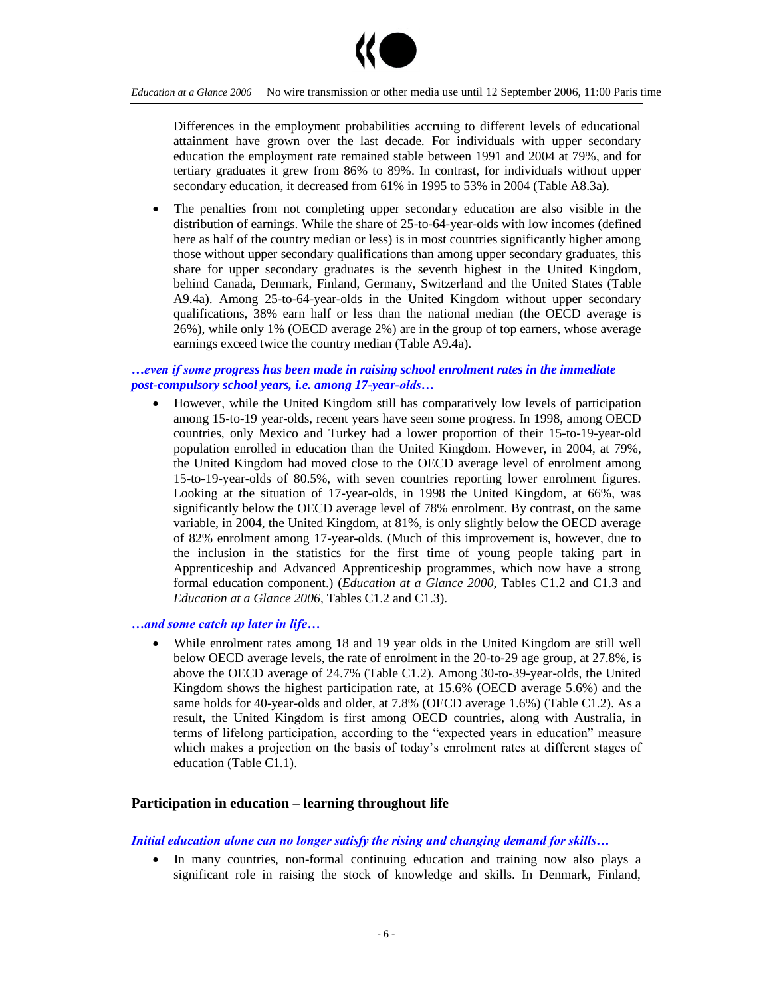

Differences in the employment probabilities accruing to different levels of educational attainment have grown over the last decade. For individuals with upper secondary education the employment rate remained stable between 1991 and 2004 at 79%, and for tertiary graduates it grew from 86% to 89%. In contrast, for individuals without upper secondary education, it decreased from 61% in 1995 to 53% in 2004 (Table A8.3a).

 The penalties from not completing upper secondary education are also visible in the distribution of earnings. While the share of 25-to-64-year-olds with low incomes (defined here as half of the country median or less) is in most countries significantly higher among those without upper secondary qualifications than among upper secondary graduates, this share for upper secondary graduates is the seventh highest in the United Kingdom, behind Canada, Denmark, Finland, Germany, Switzerland and the United States (Table A9.4a). Among 25-to-64-year-olds in the United Kingdom without upper secondary qualifications, 38% earn half or less than the national median (the OECD average is 26%), while only 1% (OECD average 2%) are in the group of top earners, whose average earnings exceed twice the country median (Table A9.4a).

# *…evenifsomeprogress has been made in raising school enrolment rates in the immediate post-compulsory school years, i.e. among 17-year-olds…*

 However, while the United Kingdom still has comparatively low levels of participation among 15-to-19 year-olds, recent years have seen some progress. In 1998, among OECD countries, only Mexico and Turkey had a lower proportion of their 15-to-19-year-old population enrolled in education than the United Kingdom. However, in 2004, at 79%, the United Kingdom had moved close to the OECD average level of enrolment among 15-to-19-year-olds of 80.5%, with seven countries reporting lower enrolment figures. Looking at the situation of 17-year-olds, in 1998 the United Kingdom, at 66%, was significantly below the OECD average level of 78% enrolment. By contrast, on the same variable, in 2004, the United Kingdom, at 81%, is only slightly below the OECD average of 82% enrolment among 17-year-olds. (Much of this improvement is, however, due to the inclusion in the statistics for the first time of young people taking part in Apprenticeship and Advanced Apprenticeship programmes, which now have a strong formal education component.) (*Education at a Glance 2000*, Tables C1.2 and C1.3 and *Education at a Glance 2006*, Tables C1.2 and C1.3).

## *…andsomecatchuplaterinlife…*

 While enrolment rates among 18 and 19 year olds in the United Kingdom are still well below OECD average levels, the rate of enrolment in the 20-to-29 age group, at 27.8%, is above the OECD average of 24.7% (Table C1.2). Among 30-to-39-year-olds, the United Kingdom shows the highest participation rate, at 15.6% (OECD average 5.6%) and the same holds for 40-year-olds and older, at 7.8% (OECD average 1.6%) (Table C1.2). As a result, the United Kingdom is first among OECD countries, along with Australia, in terms of lifelong participation, according to the "expected years in education" measure which makes a projection on the basis of today's enrolment rates at different stages of education (Table C1.1).

# **Participation in education –learning throughout life**

#### *Initial education alone can no longer satisfy the rising and changing demand for skills...*

 In many countries, non-formal continuing education and training now also plays a significant role in raising the stock of knowledge and skills. In Denmark, Finland,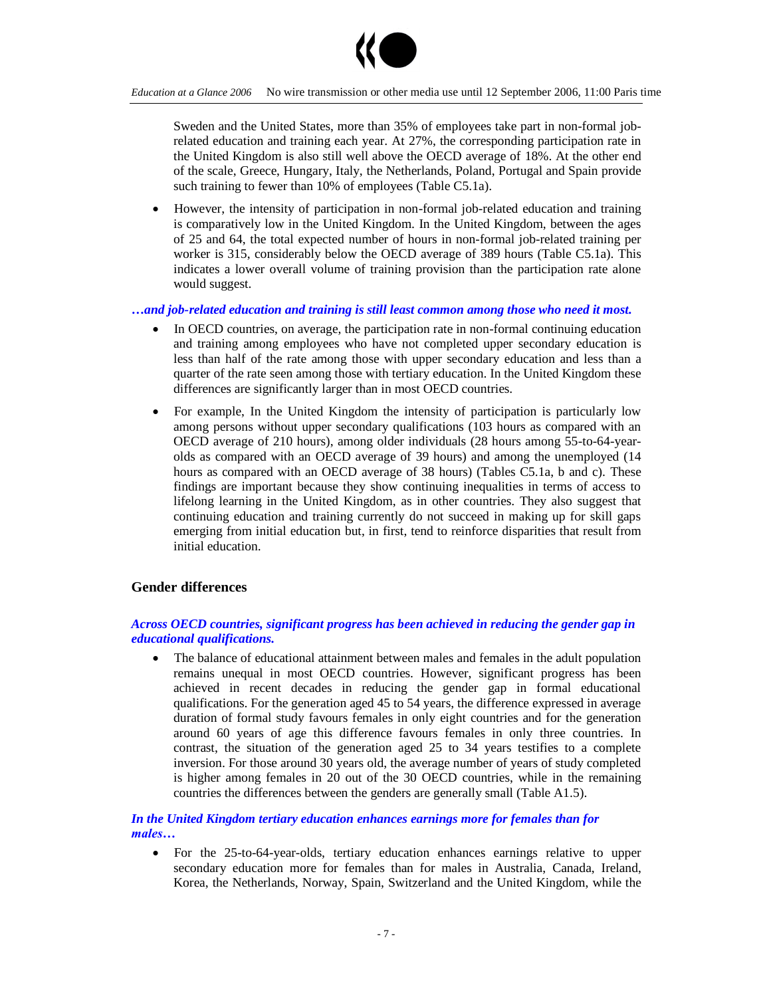

*Education at a Glance 2006* No wire transmission or other media use until 12 September 2006, 11:00 Paris time

Sweden and the United States, more than 35% of employees take part in non-formal jobrelated education and training each year. At 27%, the corresponding participation rate in the United Kingdom is also still well above the OECD average of 18%. At the other end of the scale, Greece, Hungary, Italy, the Netherlands, Poland, Portugal and Spain provide such training to fewer than 10% of employees (Table C5.1a).

 However, the intensity of participation in non-formal job-related education and training is comparatively low in the United Kingdom. In the United Kingdom, between the ages of 25 and 64, the total expected number of hours in non-formal job-related training per worker is 315, considerably below the OECD average of 389 hours (Table C5.1a). This indicates a lower overall volume of training provision than the participation rate alone would suggest.

*…and job-related education and training is still least common among those who need it most.*

- In OECD countries, on average, the participation rate in non-formal continuing education and training among employees who have not completed upper secondary education is less than half of the rate among those with upper secondary education and less than a quarter of the rate seen among those with tertiary education. In the United Kingdom these differences are significantly larger than in most OECD countries.
- For example, In the United Kingdom the intensity of participation is particularly low among persons without upper secondary qualifications (103 hours as compared with an OECD average of 210 hours), among older individuals (28 hours among 55-to-64-yearolds as compared with an OECD average of 39 hours) and among the unemployed (14 hours as compared with an OECD average of 38 hours) (Tables C5.1a, b and c). These findings are important because they show continuing inequalities in terms of access to lifelong learning in the United Kingdom, as in other countries. They also suggest that continuing education and training currently do not succeed in making up for skill gaps emerging from initial education but, in first, tend to reinforce disparities that result from initial education.

# **Gender differences**

## *Across OECD countries, significant progress has been achieved in reducing the gender gap in educational qualifications.*

 The balance of educational attainment between males and females in the adult population remains unequal in most OECD countries. However, significant progress has been achieved in recent decades in reducing the gender gap in formal educational qualifications. For the generation aged 45 to 54 years, the difference expressed in average duration of formal study favours females in only eight countries and for the generation around 60 years of age this difference favours females in only three countries. In contrast, the situation of the generation aged 25 to 34 years testifies to a complete inversion. For those around 30 years old, the average number of years of study completed is higher among females in 20 out of the 30 OECD countries, while in the remaining countries the differences between the genders are generally small (Table A1.5).

*In the United Kingdom tertiary education enhances earnings more for females than for males…*

 For the 25-to-64-year-olds, tertiary education enhances earnings relative to upper secondary education more for females than for males in Australia, Canada, Ireland, Korea, the Netherlands, Norway, Spain, Switzerland and the United Kingdom, while the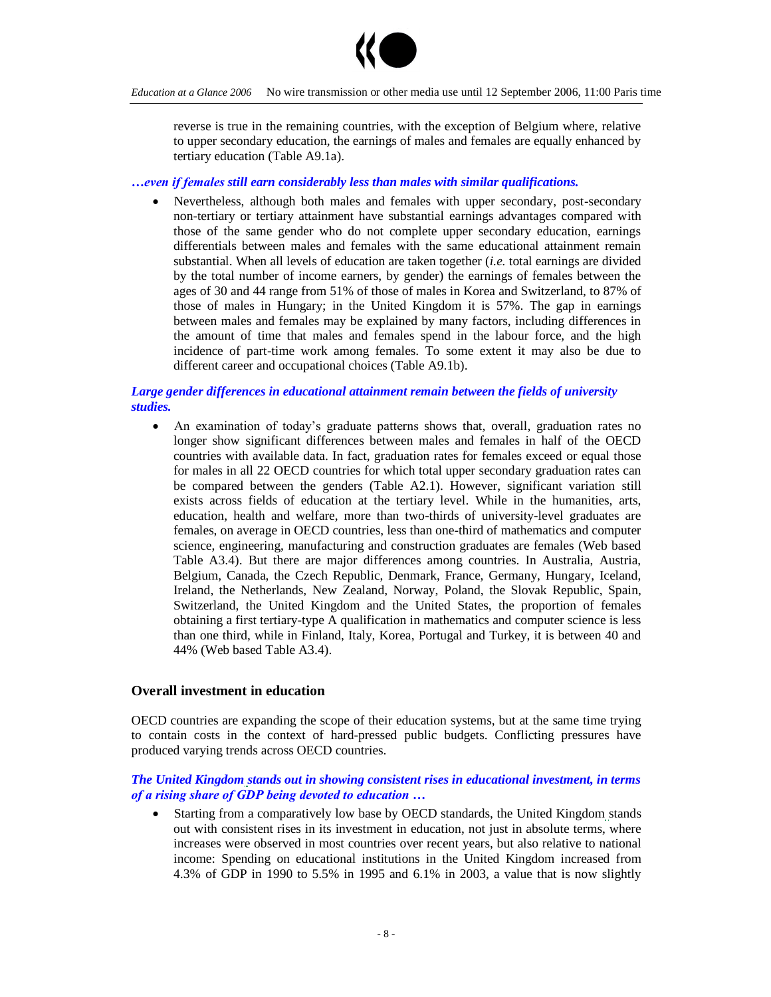

reverse is true in the remaining countries, with the exception of Belgium where, relative to upper secondary education, the earnings of males and females are equally enhanced by tertiary education (Table A9.1a).

## *…eveniffemalesstill earn considerably less than males with similar qualifications.*

 Nevertheless, although both males and females with upper secondary, post-secondary non-tertiary or tertiary attainment have substantial earnings advantages compared with those of the same gender who do not complete upper secondary education, earnings differentials between males and females with the same educational attainment remain substantial. When all levels of education are taken together (*i.e.* total earnings are divided by the total number of income earners, by gender) the earnings of females between the ages of 30 and 44 range from 51% of those of males in Korea and Switzerland, to 87% of those of males in Hungary; in the United Kingdom it is 57%. The gap in earnings between males and females may be explained by many factors, including differences in the amount of time that males and females spend in the labour force, and the high incidence of part-time work among females. To some extent it may also be due to different career and occupational choices (Table A9.1b).

## *Large gender differences in educational attainment remain between the fields of university studies.*

• An examination of today's graduate patterns shows that, overall, graduation rates no longer show significant differences between males and females in half of the OECD countries with available data. In fact, graduation rates for females exceed or equal those for males in all 22 OECD countries for which total upper secondary graduation rates can be compared between the genders (Table A2.1). However, significant variation still exists across fields of education at the tertiary level. While in the humanities, arts, education, health and welfare, more than two-thirds of university-level graduates are females, on average in OECD countries, less than one-third of mathematics and computer science, engineering, manufacturing and construction graduates are females (Web based Table A3.4). But there are major differences among countries. In Australia, Austria, Belgium, Canada, the Czech Republic, Denmark, France, Germany, Hungary, Iceland, Ireland, the Netherlands, New Zealand, Norway, Poland, the Slovak Republic, Spain, Switzerland, the United Kingdom and the United States, the proportion of females obtaining a first tertiary-type A qualification in mathematics and computer science is less than one third, while in Finland, Italy, Korea, Portugal and Turkey, it is between 40 and 44% (Web based Table A3.4).

## **Overall investment in education**

OECD countries are expanding the scope of their education systems, but at the same time trying to contain costs in the context of hard-pressed public budgets. Conflicting pressures have produced varying trends across OECD countries.

## *The United Kingdom stands out in showing consistent rises in educational investment, in terms of a rising share of GDP being devoted to education ...*

 Starting from a comparatively low base by OECD standards, the United Kingdom stands out with consistent rises in its investment in education, not just in absolute terms, where increases were observed in most countries over recent years, but also relative to national income: Spending on educational institutions in the United Kingdom increased from 4.3% of GDP in 1990 to 5.5% in 1995 and 6.1% in 2003, a value that is now slightly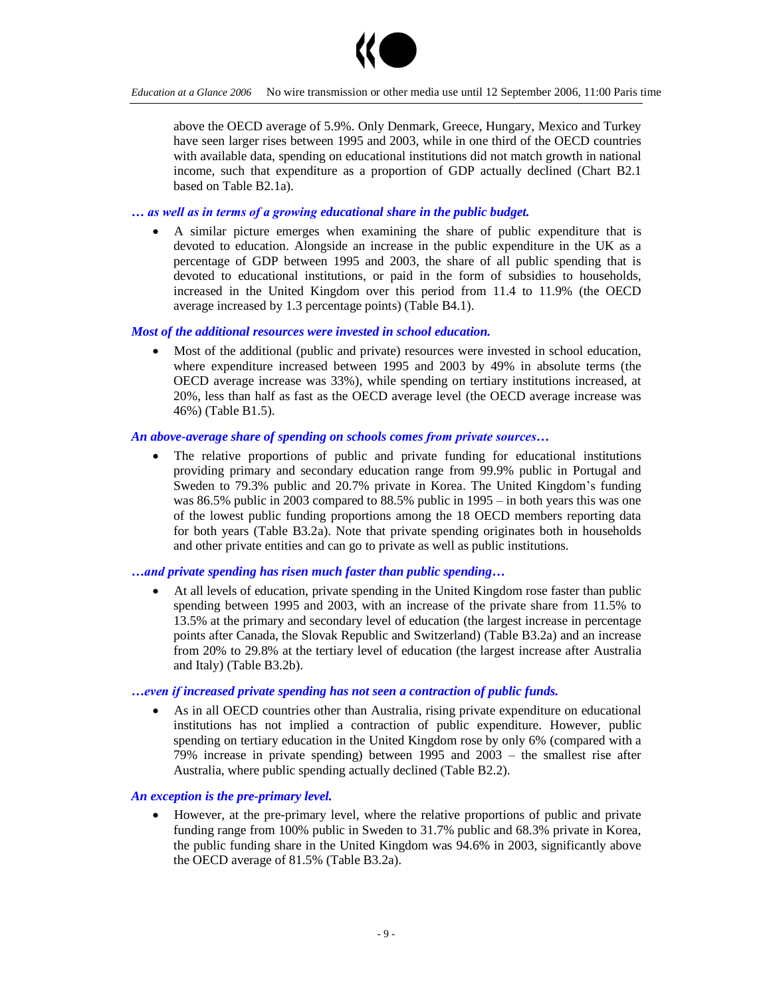

above the OECD average of 5.9%. Only Denmark, Greece, Hungary, Mexico and Turkey have seen larger rises between 1995 and 2003, while in one third of the OECD countries with available data, spending on educational institutions did not match growth in national income, such that expenditure as a proportion of GDP actually declined (Chart B2.1 based on Table B2.1a).

#### *… aswellasintermsofagrowingeducational share in the public budget.*

 A similar picture emerges when examining the share of public expenditure that is devoted to education. Alongside an increase in the public expenditure in the UK as a percentage of GDP between 1995 and 2003, the share of all public spending that is devoted to educational institutions, or paid in the form of subsidies to households, increased in the United Kingdom over this period from 11.4 to 11.9% (the OECD average increased by 1.3 percentage points) (Table B4.1).

#### *Most of the additional resources were invested in school education.*

 Most of the additional (public and private) resources were invested in school education, where expenditure increased between 1995 and 2003 by 49% in absolute terms (the OECD average increase was 33%), while spending on tertiary institutions increased, at 20%, less than half as fast as the OECD average level (the OECD average increase was 46%) (Table B1.5).

#### *An above-average share of spending on schools comes from private sources...*

 The relative proportions of public and private funding for educational institutions providing primary and secondary education range from 99.9% public in Portugal and Sweden to 79.3% public and 20.7% private in Korea. The United Kingdom's funding was 86.5% public in 2003 compared to 88.5% public in 1995 – in both years this was one of the lowest public funding proportions among the 18 OECD members reporting data for both years (Table B3.2a). Note that private spending originates both in households and other private entities and can go to private as well as public institutions.

#### *…andprivate spending has risen much faster than public spending…*

 At all levels of education, private spending in the United Kingdom rose faster than public spending between 1995 and 2003, with an increase of the private share from 11.5% to 13.5% at the primary and secondary level of education (the largest increase in percentage points after Canada, the Slovak Republic and Switzerland) (Table B3.2a) and an increase from 20% to 29.8% at the tertiary level of education (the largest increase after Australia and Italy) (Table B3.2b).

#### *…evenifincreased private spending has not seen a contraction of public funds.*

 As in all OECD countries other than Australia, rising private expenditure on educational institutions has not implied a contraction of public expenditure. However, public spending on tertiary education in the United Kingdom rose by only 6% (compared with a 79% increase in private spending) between  $1995$  and  $2003 -$  the smallest rise after Australia, where public spending actually declined (Table B2.2).

## *An exception is the pre-primary level.*

 However, at the pre-primary level, where the relative proportions of public and private funding range from 100% public in Sweden to 31.7% public and 68.3% private in Korea, the public funding share in the United Kingdom was 94.6% in 2003, significantly above the OECD average of 81.5% (Table B3.2a).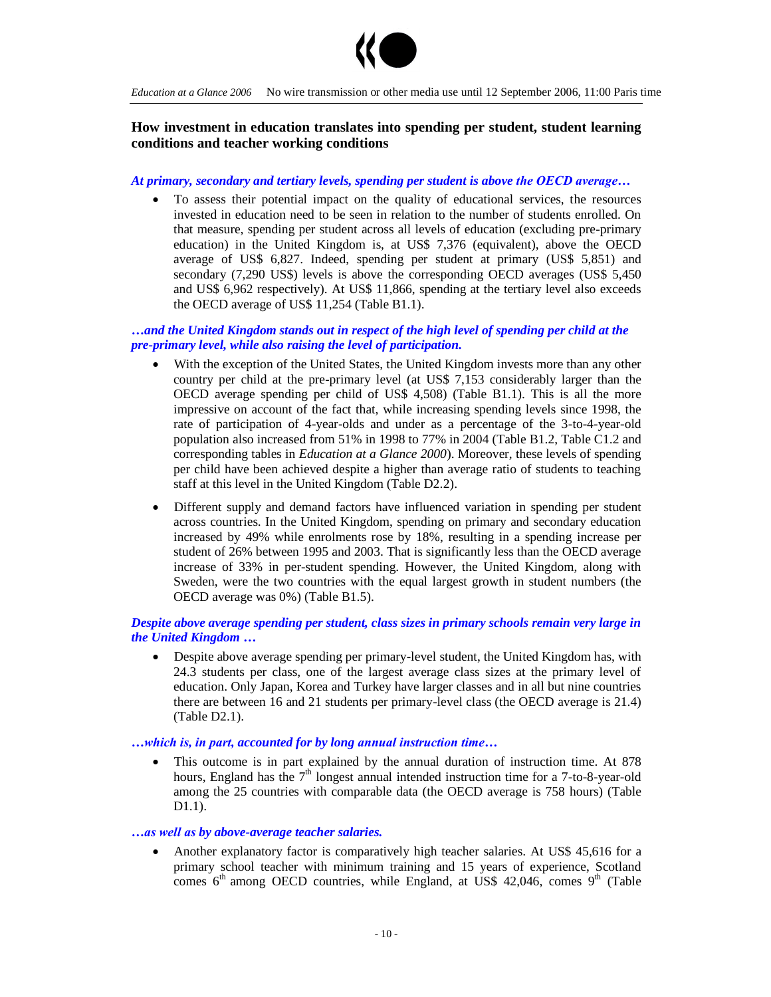

# **How investment in education translates into spending per student, student learning conditions and teacher working conditions**

#### *At primary, secondary and tertiary levels, spending per student is above theOECDaverage…*

 To assess their potential impact on the quality of educational services, the resources invested in education need to be seen in relation to the number of students enrolled. On that measure, spending per student across all levels of education (excluding pre-primary education) in the United Kingdom is, at US\$ 7,376 (equivalent), above the OECD average of US\$ 6,827. Indeed, spending per student at primary (US\$ 5,851) and secondary (7,290 US\$) levels is above the corresponding OECD averages (US\$ 5,450 and US\$ 6,962 respectively). At US\$ 11,866, spending at the tertiary level also exceeds the OECD average of US\$ 11,254 (Table B1.1).

## *…and the United Kingdom stands out in respect of the high level of spending per child at the pre-primary level, while also raising the level of participation.*

- With the exception of the United States, the United Kingdom invests more than any other country per child at the pre-primary level (at US\$ 7,153 considerably larger than the OECD average spending per child of US\$ 4,508) (Table B1.1). This is all the more impressive on account of the fact that, while increasing spending levels since 1998, the rate of participation of 4-year-olds and under as a percentage of the 3-to-4-year-old population also increased from 51% in 1998 to 77% in 2004 (Table B1.2, Table C1.2 and corresponding tables in *Education at a Glance 2000*). Moreover, these levels of spending per child have been achieved despite a higher than average ratio of students to teaching staff at this level in the United Kingdom (Table D2.2).
- Different supply and demand factors have influenced variation in spending per student across countries. In the United Kingdom, spending on primary and secondary education increased by 49% while enrolments rose by 18%, resulting in a spending increase per student of 26% between 1995 and 2003. That is significantly less than the OECD average increase of 33% in per-student spending. However, the United Kingdom, along with Sweden, were the two countries with the equal largest growth in student numbers (the OECD average was 0%) (Table B1.5).

## *Despite above average spending per student, class sizes in primary schools remain very large in the United Kingdom …*

 Despite above average spending per primary-level student, the United Kingdom has, with 24.3 students per class, one of the largest average class sizes at the primary level of education. Only Japan, Korea and Turkey have larger classes and in all but nine countries there are between 16 and 21 students per primary-level class (the OECD average is 21.4) (Table D2.1).

## $\dots$ which is, in part, accounted for by long annual instruction time...

 This outcome is in part explained by the annual duration of instruction time. At 878 hours, England has the  $7<sup>th</sup>$  longest annual intended instruction time for a 7-to-8-year-old among the 25 countries with comparable data (the OECD average is 758 hours) (Table D1.1).

#### *…aswellasby above-average teacher salaries.*

 Another explanatory factor is comparatively high teacher salaries. At US\$ 45,616 for a primary school teacher with minimum training and 15 years of experience, Scotland comes  $6<sup>th</sup>$  among OECD countries, while England, at US\$ 42,046, comes  $9<sup>th</sup>$  (Table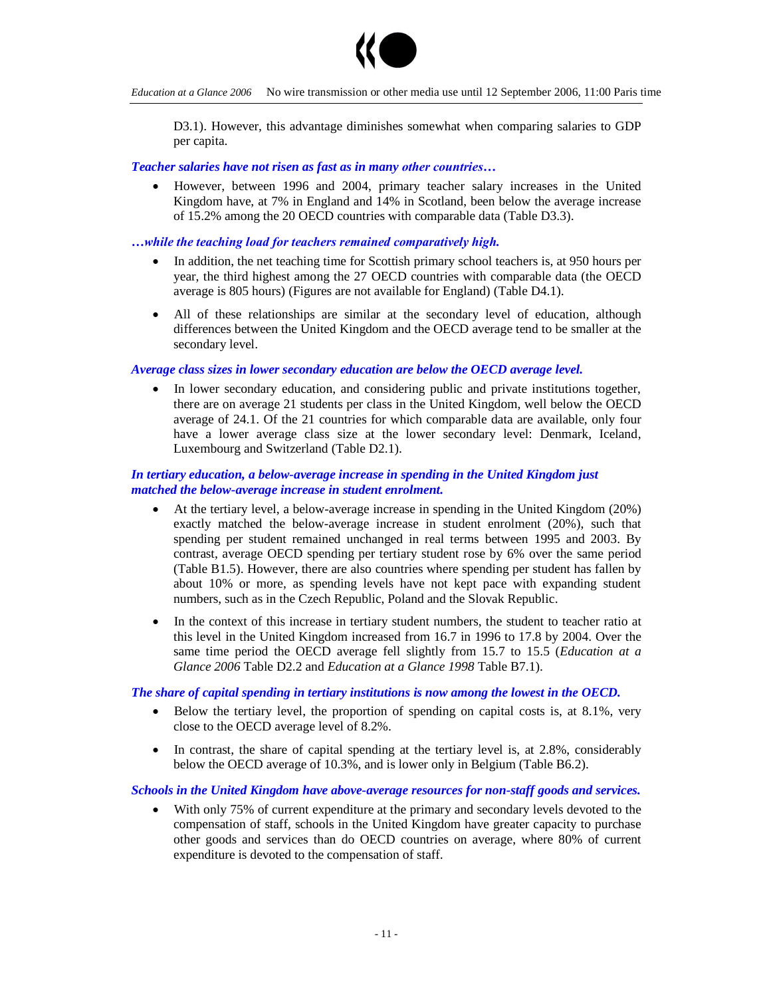

D3.1). However, this advantage diminishes somewhat when comparing salaries to GDP per capita.

#### *Teacher salaries have not risen as fast as in many other countries...*

 However, between 1996 and 2004, primary teacher salary increases in the United Kingdom have, at 7% in England and 14% in Scotland, been below the average increase of 15.2% among the 20 OECD countries with comparable data (Table D3.3).

#### ...while the teaching load for teachers remained comparatively high.

- In addition, the net teaching time for Scottish primary school teachers is, at 950 hours per year, the third highest among the 27 OECD countries with comparable data (the OECD average is 805 hours) (Figures are not available for England) (Table D4.1).
- All of these relationships are similar at the secondary level of education, although differences between the United Kingdom and the OECD average tend to be smaller at the secondary level.

#### *Average class sizes in lower secondary education are below the OECD average level.*

 In lower secondary education, and considering public and private institutions together, there are on average 21 students per class in the United Kingdom, well below the OECD average of 24.1. Of the 21 countries for which comparable data are available, only four have a lower average class size at the lower secondary level: Denmark, Iceland, Luxembourg and Switzerland (Table D2.1).

#### *In tertiary education, a below-average increase in spending in the United Kingdom just matched the below-average increase in student enrolment.*

- At the tertiary level, a below-average increase in spending in the United Kingdom (20%) exactly matched the below-average increase in student enrolment (20%), such that spending per student remained unchanged in real terms between 1995 and 2003. By contrast, average OECD spending per tertiary student rose by 6% over the same period (Table B1.5). However, there are also countries where spending per student has fallen by about 10% or more, as spending levels have not kept pace with expanding student numbers, such as in the Czech Republic, Poland and the Slovak Republic.
- In the context of this increase in tertiary student numbers, the student to teacher ratio at this level in the United Kingdom increased from 16.7 in 1996 to 17.8 by 2004. Over the same time period the OECD average fell slightly from 15.7 to 15.5 (*Education at a Glance 2006* Table D2.2 and *Education at a Glance 1998* Table B7.1).

#### *The share of capital spending in tertiary institutions is now among the lowest in the OECD.*

- Below the tertiary level, the proportion of spending on capital costs is, at 8.1%, very close to the OECD average level of 8.2%.
- In contrast, the share of capital spending at the tertiary level is, at 2.8%, considerably below the OECD average of 10.3%, and is lower only in Belgium (Table B6.2).

#### *Schools in the United Kingdom have above-average resources for non-staff goods and services.*

 With only 75% of current expenditure at the primary and secondary levels devoted to the compensation of staff, schools in the United Kingdom have greater capacity to purchase other goods and services than do OECD countries on average, where 80% of current expenditure is devoted to the compensation of staff.